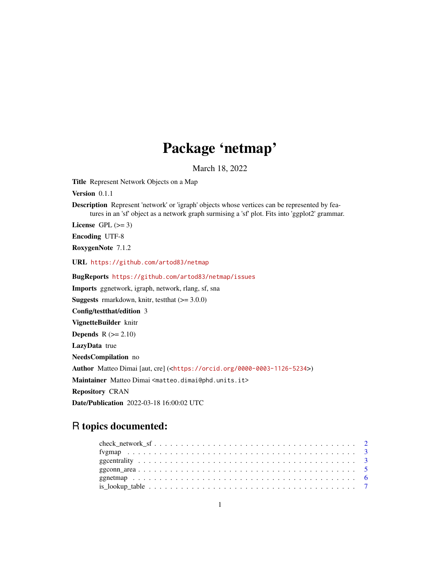# Package 'netmap'

March 18, 2022

<span id="page-0-0"></span>Title Represent Network Objects on a Map

Version 0.1.1

Description Represent 'network' or 'igraph' objects whose vertices can be represented by features in an 'sf' object as a network graph surmising a 'sf' plot. Fits into 'ggplot2' grammar.

License GPL  $(>= 3)$ 

Encoding UTF-8

RoxygenNote 7.1.2

URL <https://github.com/artod83/netmap>

BugReports <https://github.com/artod83/netmap/issues> Imports ggnetwork, igraph, network, rlang, sf, sna **Suggests** rmarkdown, knitr, test that  $(>= 3.0.0)$ Config/testthat/edition 3 VignetteBuilder knitr **Depends**  $R$  ( $>= 2.10$ ) LazyData true NeedsCompilation no Author Matteo Dimai [aut, cre] (<<https://orcid.org/0000-0003-1126-5234>>) Maintainer Matteo Dimai <matteo.dimai@phd.units.it> Repository CRAN Date/Publication 2022-03-18 16:00:02 UTC

# R topics documented: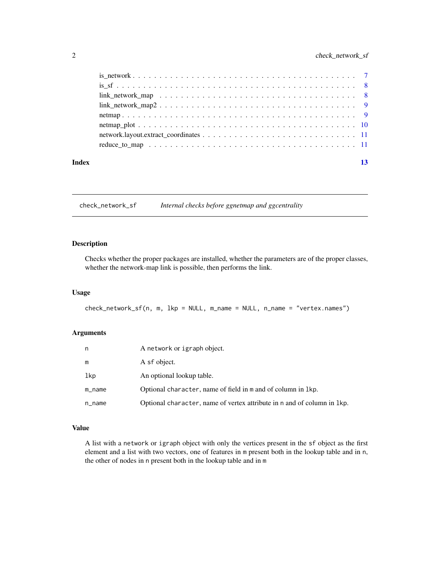### <span id="page-1-0"></span>2 check\_network\_sf

| Index | 13 |
|-------|----|
|       |    |
|       |    |
|       |    |
|       |    |
|       |    |
|       |    |
|       |    |
|       |    |

check\_network\_sf *Internal checks before ggnetmap and ggcentrality*

#### Description

Checks whether the proper packages are installed, whether the parameters are of the proper classes, whether the network-map link is possible, then performs the link.

#### Usage

check\_network\_sf(n, m, lkp = NULL, m\_name = NULL, n\_name = "vertex.names")

#### Arguments

| n         | A network or igraph object.                                              |
|-----------|--------------------------------------------------------------------------|
| m         | A sf object.                                                             |
| lkp       | An optional lookup table.                                                |
| $m$ _name | Optional character, name of field in m and of column in 1kp.             |
| n_name    | Optional character, name of vertex attribute in n and of column in 1 kp. |

### Value

A list with a network or igraph object with only the vertices present in the sf object as the first element and a list with two vectors, one of features in m present both in the lookup table and in n, the other of nodes in n present both in the lookup table and in m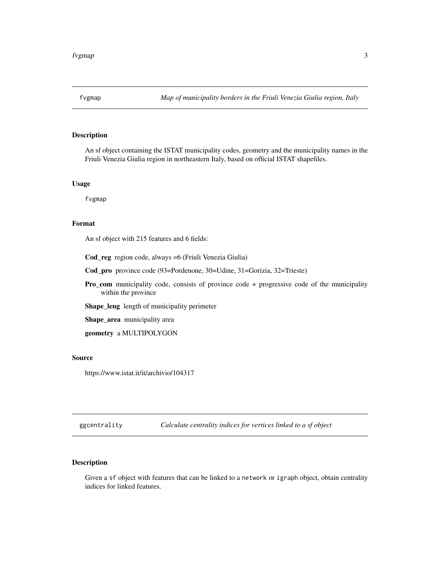<span id="page-2-0"></span>

An sf object containing the ISTAT municipality codes, geometry and the municipality names in the Friuli Venezia Giulia region in northeastern Italy, based on official ISTAT shapefiles.

#### Usage

fvgmap

#### Format

An sf object with 215 features and 6 fields:

Cod\_reg region code, always =6 (Friuli Venezia Giulia)

Cod\_pro province code (93=Pordenone, 30=Udine, 31=Gorizia, 32=Trieste)

Pro\_com municipality code, consists of province code + progressive code of the municipality within the province

Shape\_leng length of municipality perimeter

Shape\_area municipality area

geometry a MULTIPOLYGON

#### Source

https://www.istat.it/it/archivio/104317

ggcentrality *Calculate centrality indices for vertices linked to a sf object*

### Description

Given a sf object with features that can be linked to a network or igraph object, obtain centrality indices for linked features.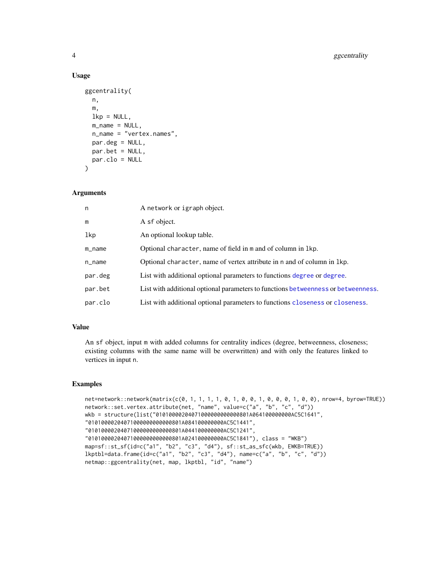#### Usage

```
ggcentrality(
 n,
  m,
  lkp = NULL,m_name = NULL,n_name = "vertex.names",
 par.deg = NULL,
 par.bet = NULL,
 par.clo = NULL
)
```
#### Arguments

| n       | A network or igraph object.                                                       |
|---------|-----------------------------------------------------------------------------------|
| m       | A sf object.                                                                      |
| lkp     | An optional lookup table.                                                         |
| m_name  | Optional character, name of field in m and of column in 1kp.                      |
| n_name  | Optional character, name of vertex attribute in n and of column in 1kp.           |
| par.deg | List with additional optional parameters to functions degree or degree.           |
| par.bet | List with additional optional parameters to functions betweenness or betweenness. |
| par.clo | List with additional optional parameters to functions closeness or closeness.     |

#### Value

An sf object, input m with added columns for centrality indices (degree, betweenness, closeness; existing columns with the same name will be overwritten) and with only the features linked to vertices in input n.

#### Examples

```
net=network::network(matrix(c(0, 1, 1, 1, 1, 0, 1, 0, 0, 1, 0, 0, 0, 1, 0, 0), nrow=4, byrow=TRUE))
network::set.vertex.attribute(net, "name", value=c("a", "b", "c", "d"))
wkb = structure(list("01010000204071000000000000801A064100000000AC5C1641",
"01010000204071000000000000801A084100000000AC5C1441",
"01010000204071000000000000801A044100000000AC5C1241",
"01010000204071000000000000801A024100000000AC5C1841"), class = "WKB")
map=sf::st_sf(id=c("a1", "b2", "c3", "d4"), sf::st_as_sfc(wkb, EWKB=TRUE))
lkptbl=data.frame(id=c("a1", "b2", "c3", "d4"), name=c("a", "b", "c", "d"))
netmap::ggcentrality(net, map, lkptbl, "id", "name")
```
<span id="page-3-0"></span>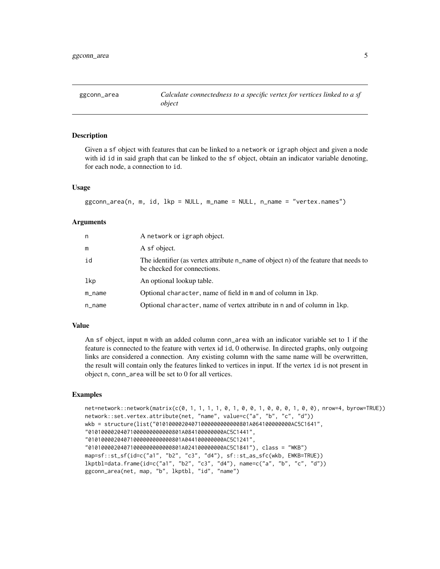<span id="page-4-0"></span>Given a sf object with features that can be linked to a network or igraph object and given a node with id id in said graph that can be linked to the sf object, obtain an indicator variable denoting, for each node, a connection to id.

#### Usage

```
ggconn_area(n, m, id, lkp = NULL, m_name = NULL, n_name = "vertex.names")
```
#### Arguments

| n      | A network or igraph object.                                                                                           |
|--------|-----------------------------------------------------------------------------------------------------------------------|
| m      | A sf object.                                                                                                          |
| id     | The identifier (as vertex attribute $n$ name of object n) of the feature that needs to<br>be checked for connections. |
| lkp    | An optional lookup table.                                                                                             |
| m_name | Optional character, name of field in m and of column in 1kp.                                                          |
| n_name | Optional character, name of vertex attribute in n and of column in 1kp.                                               |

#### Value

An sf object, input m with an added column conn\_area with an indicator variable set to 1 if the feature is connected to the feature with vertex id id, 0 otherwise. In directed graphs, only outgoing links are considered a connection. Any existing column with the same name will be overwritten, the result will contain only the features linked to vertices in input. If the vertex id is not present in object n, conn\_area will be set to 0 for all vertices.

#### Examples

```
net=network::network(matrix(c(0, 1, 1, 1, 1, 0, 1, 0, 0, 1, 0, 0, 0, 1, 0, 0), nrow=4, byrow=TRUE))
network::set.vertex.attribute(net, "name", value=c("a", "b", "c", "d"))
wkb = structure(list("01010000204071000000000000801A064100000000AC5C1641",
"01010000204071000000000000801A084100000000AC5C1441",
"01010000204071000000000000801A044100000000AC5C1241",
"01010000204071000000000000801A024100000000AC5C1841"), class = "WKB")
map=sf::st_sf(id=c("a1", "b2", "c3", "d4"), sf::st_as_sfc(wkb, EWKB=TRUE))
lkptbl=data.frame(id=c("a1", "b2", "c3", "d4"), name=c("a", "b", "c", "d"))
ggconn_area(net, map, "b", lkptbl, "id", "name")
```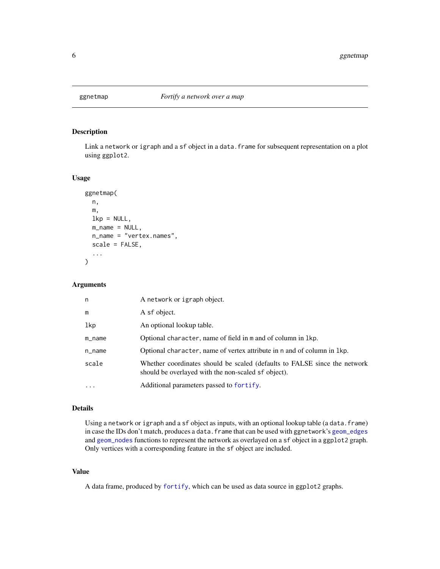<span id="page-5-1"></span><span id="page-5-0"></span>

Link a network or igraph and a sf object in a data.frame for subsequent representation on a plot using ggplot2.

#### Usage

```
ggnetmap(
 n,
 m,
 lkp = NULL,m_name = NULL,
 n_name = "vertex.names",
 scale = FALSE,
  ...
)
```
#### Arguments

| n         | A network or igraph object.                                                                                                      |
|-----------|----------------------------------------------------------------------------------------------------------------------------------|
| m         | A sf object.                                                                                                                     |
| lkp       | An optional lookup table.                                                                                                        |
| $m$ _name | Optional character, name of field in m and of column in 1kp.                                                                     |
| $n$ _name | Optional character, name of vertex attribute in n and of column in 1kp.                                                          |
| scale     | Whether coordinates should be scaled (defaults to FALSE since the network<br>should be overlayed with the non-scaled sf object). |
| $\ddotsc$ | Additional parameters passed to fortify.                                                                                         |

#### Details

Using a network or igraph and a sf object as inputs, with an optional lookup table (a data.frame) in case the IDs don't match, produces a data.frame that can be used with ggnetwork's [geom\\_edges](#page-0-0) and [geom\\_nodes](#page-0-0) functions to represent the network as overlayed on a sf object in a ggplot2 graph. Only vertices with a corresponding feature in the sf object are included.

#### Value

A data frame, produced by [fortify](#page-0-0), which can be used as data source in ggplot2 graphs.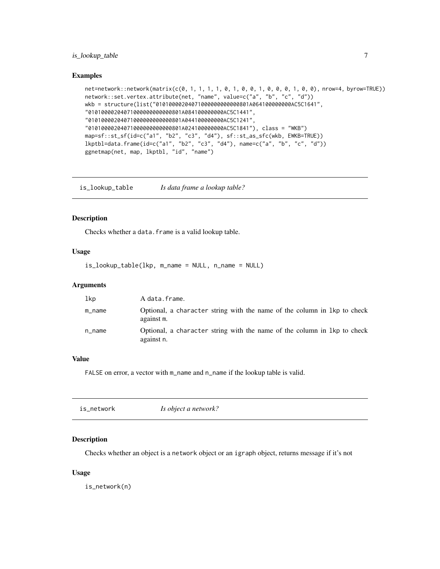#### <span id="page-6-0"></span>is\_lookup\_table 7

#### Examples

```
net=network::network(matrix(c(0, 1, 1, 1, 1, 0, 1, 0, 0, 1, 0, 0, 0, 1, 0, 0), nrow=4, byrow=TRUE))
network::set.vertex.attribute(net, "name", value=c("a", "b", "c", "d"))
wkb = structure(list("01010000204071000000000000801A064100000000AC5C1641",
"01010000204071000000000000801A084100000000AC5C1441",
"01010000204071000000000000801A044100000000AC5C1241",
"01010000204071000000000000801A024100000000AC5C1841"), class = "WKB")
map=sf::st_sf(id=c("a1", "b2", "c3", "d4"), sf::st_as_sfc(wkb, EWKB=TRUE))
lkptbl=data.frame(id=c("a1", "b2", "c3", "d4"), name=c("a", "b", "c", "d"))
ggnetmap(net, map, lkptbl, "id", "name")
```
is\_lookup\_table *Is data frame a lookup table?*

#### Description

Checks whether a data.frame is a valid lookup table.

#### Usage

is\_lookup\_table(lkp, m\_name = NULL, n\_name = NULL)

#### Arguments

| lkp    | A data.frame.                                                                          |
|--------|----------------------------------------------------------------------------------------|
| m_name | Optional, a character string with the name of the column in 1kp to check<br>against m. |
| n_name | Optional, a character string with the name of the column in 1kp to check<br>against n. |

#### Value

FALSE on error, a vector with m\_name and n\_name if the lookup table is valid.

| is_network | Is object a network? |
|------------|----------------------|
|            |                      |

#### Description

Checks whether an object is a network object or an igraph object, returns message if it's not

#### Usage

is\_network(n)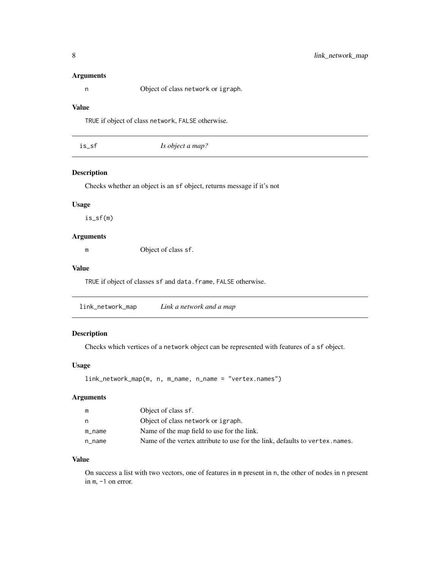#### <span id="page-7-0"></span>Arguments

n Object of class network or igraph.

#### Value

TRUE if object of class network, FALSE otherwise.

|  | is_sf | Is object a map? |  |
|--|-------|------------------|--|
|--|-------|------------------|--|

#### Description

Checks whether an object is an sf object, returns message if it's not

#### Usage

is\_sf(m)

#### Arguments

m Object of class sf.

#### Value

TRUE if object of classes sf and data.frame, FALSE otherwise.

<span id="page-7-1"></span>link\_network\_map *Link a network and a map*

#### Description

Checks which vertices of a network object can be represented with features of a sf object.

### Usage

link\_network\_map(m, n, m\_name, n\_name = "vertex.names")

#### Arguments

| m      | Object of class sf.                                                          |
|--------|------------------------------------------------------------------------------|
| n      | Object of class network or igraph.                                           |
| m name | Name of the map field to use for the link.                                   |
| n name | Name of the vertex attribute to use for the link, defaults to vertex, names. |

#### Value

On success a list with two vectors, one of features in m present in n, the other of nodes in n present in m, -1 on error.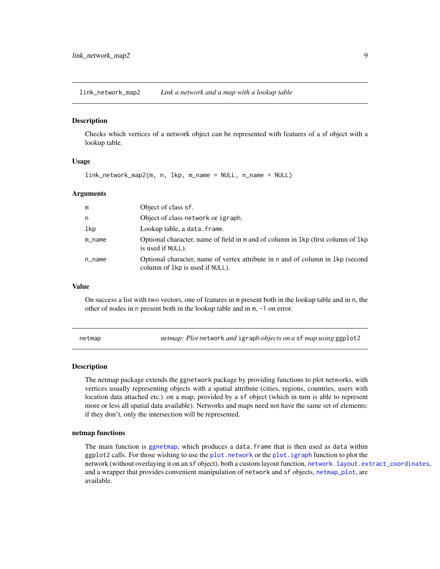<span id="page-8-1"></span><span id="page-8-0"></span>link\_network\_map2 *Link a network and a map with a lookup table*

#### Description

Checks which vertices of a network object can be represented with features of a sf object with a lookup table.

#### Usage

link\_network\_map2(m, n, lkp, m\_name = NULL, n\_name = NULL)

#### Arguments

| m      | Object of class sf.                                                                                                 |
|--------|---------------------------------------------------------------------------------------------------------------------|
| n      | Object of class network or igraph.                                                                                  |
| lkp    | Lookup table, a data. frame.                                                                                        |
| m_name | Optional character, name of field in m and of column in 1kp (first column of 1kp)<br>is used if NULL).              |
| n_name | Optional character, name of vertex attribute in n and of column in 1 kp (second<br>column of 1 kp is used if NULL). |

#### Value

On success a list with two vectors, one of features in m present both in the lookup table and in n, the other of nodes in n present both in the lookup table and in m, -1 on error.

netmap *netmap: Plot* network *and* igraph *objects on a* sf *map using* ggplot2

#### **Description**

The netmap package extends the ggnetwork package by providing functions to plot networks, with vertices usually representing objects with a spatial attribute (cities, regions, countries, users with location data attached etc.) on a map, provided by a sf object (which in turn is able to represent more or less all spatial data available). Networks and maps need not have the same set of elements: if they don't, only the intersection will be represented.

#### netmap functions

The main function is [ggnetmap](#page-5-1), which produces a data.frame that is then used as data within ggplot2 calls. For those wishing to use the [plot.network](#page-0-0) or the [plot.igraph](#page-0-0) function to plot the network (without overlaying it on an sf object), both a custom layout function, [network.layout.extract\\_coordinates](#page-10-1), and a wrapper that provides convenient manipulation of network and sf objects, [netmap\\_plot](#page-9-1), are available.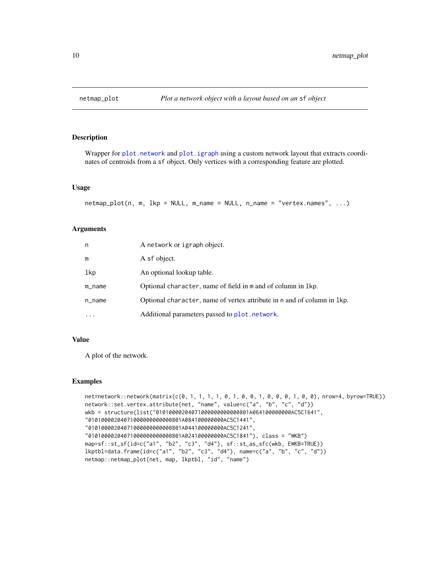<span id="page-9-1"></span><span id="page-9-0"></span>

Wrapper for [plot.network](#page-0-0) and [plot.igraph](#page-0-0) using a custom network layout that extracts coordinates of centroids from a sf object. Only vertices with a corresponding feature are plotted.

#### Usage

```
netmap_plot(n, m, lkp = NULL, m_name = NULL, n_name = "vertex.names", ...)
```
#### Arguments

| n         | A network or igraph object.                                              |
|-----------|--------------------------------------------------------------------------|
| m         | A sf object.                                                             |
| lkp       | An optional lookup table.                                                |
| $m$ _name | Optional character, name of field in m and of column in lkp.             |
| $n$ _name | Optional character, name of vertex attribute in n and of column in 1 kp. |
| $\cdots$  | Additional parameters passed to plot. network.                           |

#### Value

A plot of the network.

#### Examples

```
net=network::network(matrix(c(0, 1, 1, 1, 1, 0, 1, 0, 0, 1, 0, 0, 0, 1, 0, 0), nrow=4, byrow=TRUE))
network::set.vertex.attribute(net, "name", value=c("a", "b", "c", "d"))
wkb = structure(list("01010000204071000000000000801A064100000000AC5C1641",
"01010000204071000000000000801A084100000000AC5C1441",
"01010000204071000000000000801A044100000000AC5C1241",
"01010000204071000000000000801A024100000000AC5C1841"), class = "WKB")
map=sf::st_sf(id=c("a1", "b2", "c3", "d4"), sf::st_as_sfc(wkb, EWKB=TRUE))
lkptbl=data.frame(id=c("a1", "b2", "c3", "d4"), name=c("a", "b", "c", "d"))
netmap::netmap_plot(net, map, lkptbl, "id", "name")
```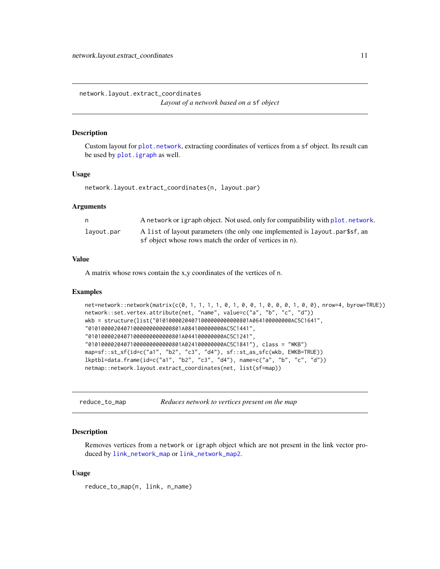<span id="page-10-1"></span><span id="page-10-0"></span>network.layout.extract\_coordinates *Layout of a network based on a* sf *object*

#### **Description**

Custom layout for [plot.network](#page-0-0), extracting coordinates of vertices from a sf object. Its result can be used by [plot.igraph](#page-0-0) as well.

#### Usage

network.layout.extract\_coordinates(n, layout.par)

#### Arguments

| n.         | A network or igraph object. Not used, only for compatibility with plot. network. |
|------------|----------------------------------------------------------------------------------|
| layout.par | A list of layout parameters (the only one implemented is layout part of, an      |
|            | sf object whose rows match the order of vertices in n).                          |

#### Value

A matrix whose rows contain the x,y coordinates of the vertices of n.

#### Examples

```
net=network::network(matrix(c(0, 1, 1, 1, 1, 0, 1, 0, 0, 1, 0, 0, 0, 1, 0, 0), nrow=4, byrow=TRUE))
network::set.vertex.attribute(net, "name", value=c("a", "b", "c", "d"))
wkb = structure(list("01010000204071000000000000801A064100000000AC5C1641",
"01010000204071000000000000801A084100000000AC5C1441",
"01010000204071000000000000801A044100000000AC5C1241",
"01010000204071000000000000801A024100000000AC5C1841"), class = "WKB")
map=sf::st_sf(id=c("a1", "b2", "c3", "d4"), sf::st_as_sfc(wkb, EWKB=TRUE))
lkptbl=data.frame(id=c("a1", "b2", "c3", "d4"), name=c("a", "b", "c", "d"))
netmap::network.layout.extract_coordinates(net, list(sf=map))
```
reduce\_to\_map *Reduces network to vertices present on the map*

#### Description

Removes vertices from a network or igraph object which are not present in the link vector produced by [link\\_network\\_map](#page-7-1) or [link\\_network\\_map2](#page-8-1).

#### Usage

reduce\_to\_map(n, link, n\_name)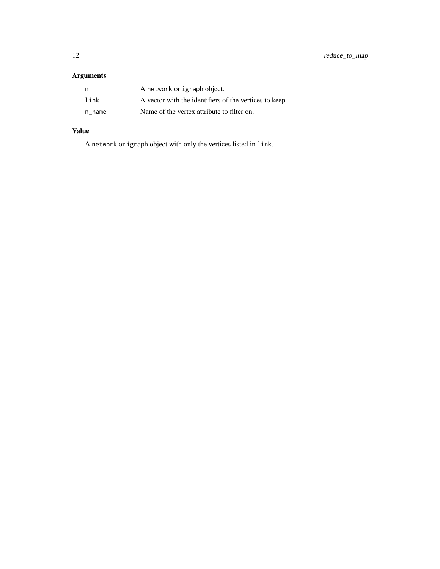## Arguments

| n,     | A network or igraph object.                            |
|--------|--------------------------------------------------------|
| link   | A vector with the identifiers of the vertices to keep. |
| n name | Name of the vertex attribute to filter on.             |

# Value

A network or igraph object with only the vertices listed in link.